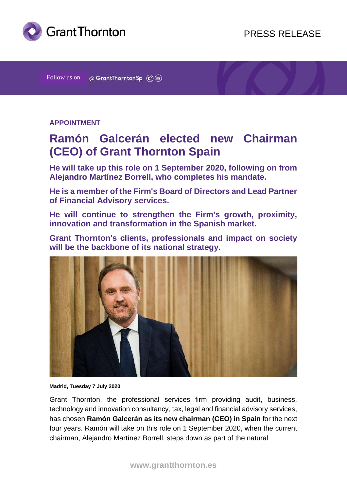

Follow us on  $\circledcirc$  GrantThorntonSp  $(\mathcal{D})$  (in)

## **APPOINTMENT**

# **Ramón Galcerán elected new Chairman (CEO) of Grant Thornton Spain**

**He will take up this role on 1 September 2020, following on from Alejandro Martínez Borrell, who completes his mandate.**

**He is a member of the Firm's Board of Directors and Lead Partner of Financial Advisory services.**

**He will continue to strengthen the Firm's growth, proximity, innovation and transformation in the Spanish market.**

**Grant Thornton's clients, professionals and impact on society will be the backbone of its national strategy.**



**Madrid, Tuesday 7 July 2020**

Grant Thornton, the professional services firm providing audit, business, technology and innovation consultancy, tax, legal and financial advisory services, has chosen **Ramón Galcerán as its new chairman (CEO) in Spain** for the next four years. Ramón will take on this role on 1 September 2020, when the current chairman, Alejandro Martínez Borrell, steps down as part of the natural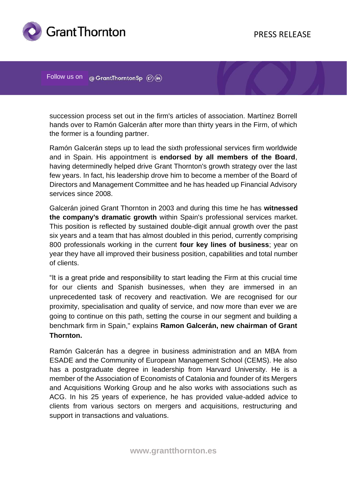

Follow us on @ GrantThorntonSp (c) (in)

succession process set out in the firm's articles of association. Martínez Borrell hands over to Ramón Galcerán after more than thirty years in the Firm, of which the former is a founding partner.

Ramón Galcerán steps up to lead the sixth professional services firm worldwide and in Spain. His appointment is **endorsed by all members of the Board**, having determinedly helped drive Grant Thornton's growth strategy over the last few years. In fact, his leadership drove him to become a member of the Board of Directors and Management Committee and he has headed up Financial Advisory services since 2008.

Galcerán joined Grant Thornton in 2003 and during this time he has **witnessed the company's dramatic growth** within Spain's professional services market. This position is reflected by sustained double-digit annual growth over the past six years and a team that has almost doubled in this period, currently comprising 800 professionals working in the current **four key lines of business**; year on year they have all improved their business position, capabilities and total number of clients.

"It is a great pride and responsibility to start leading the Firm at this crucial time for our clients and Spanish businesses, when they are immersed in an unprecedented task of recovery and reactivation. We are recognised for our proximity, specialisation and quality of service, and now more than ever we are going to continue on this path, setting the course in our segment and building a benchmark firm in Spain," explains **Ramon Galcerán, new chairman of Grant Thornton.**

Ramón Galcerán has a degree in business administration and an MBA from ESADE and the Community of European Management School (CEMS). He also has a postgraduate degree in leadership from Harvard University. He is a member of the Association of Economists of Catalonia and founder of its Mergers and Acquisitions Working Group and he also works with associations such as ACG. In his 25 years of experience, he has provided value-added advice to clients from various sectors on mergers and acquisitions, restructuring and support in transactions and valuations.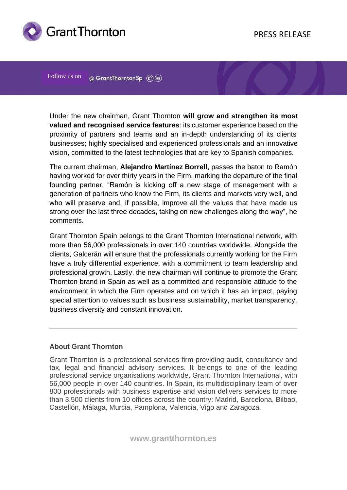

Follow us on @ GrantThorntonSp  $\circledR$  (n)

Under the new chairman, Grant Thornton **will grow and strengthen its most valued and recognised service features**: its customer experience based on the proximity of partners and teams and an in-depth understanding of its clients' businesses; highly specialised and experienced professionals and an innovative vision, committed to the latest technologies that are key to Spanish companies.

The current chairman, **Alejandro Martínez Borrell**, passes the baton to Ramón having worked for over thirty years in the Firm, marking the departure of the final founding partner. "Ramón is kicking off a new stage of management with a generation of partners who know the Firm, its clients and markets very well, and who will preserve and, if possible, improve all the values that have made us strong over the last three decades, taking on new challenges along the way", he comments.

Grant Thornton Spain belongs to the Grant Thornton International network, with more than 56,000 professionals in over 140 countries worldwide. Alongside the clients, Galcerán will ensure that the professionals currently working for the Firm have a truly differential experience, with a commitment to team leadership and professional growth. Lastly, the new chairman will continue to promote the Grant Thornton brand in Spain as well as a committed and responsible attitude to the environment in which the Firm operates and on which it has an impact, paying special attention to values such as business sustainability, market transparency, business diversity and constant innovation.

#### **About Grant Thornton**

Grant Thornton is a professional services firm providing audit, consultancy and tax, legal and financial advisory services. It belongs to one of the leading professional service organisations worldwide, Grant Thornton International, with 56,000 people in over 140 countries. In Spain, its multidisciplinary team of over 800 professionals with business expertise and vision delivers services to more than 3,500 clients from 10 offices across the country: Madrid, Barcelona, Bilbao, Castellón, Málaga, Murcia, Pamplona, Valencia, Vigo and Zaragoza.

**www.grantthornton.es**